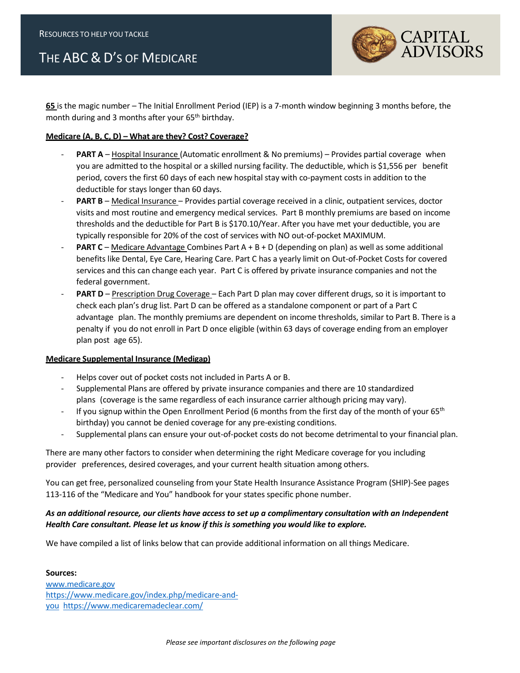## THE ABC & D'S OF MEDICARE



**65** is the magic number – The Initial Enrollment Period (IEP) is a 7-month window beginning 3 months before, the month during and 3 months after your 65<sup>th</sup> birthday.

## **Medicare (A, B, C, D) – What are they? Cost? Coverage?**

- PART A Hospital Insurance (Automatic enrollment & No premiums) Provides partial coverage when you are admitted to the hospital or a skilled nursing facility. The deductible, which is \$1,556 per benefit period, covers the first 60 days of each new hospital stay with co-payment costs in addition to the deductible for stays longer than 60 days.
- PART B Medical Insurance Provides partial coverage received in a clinic, outpatient services, doctor visits and most routine and emergency medical services. Part B monthly premiums are based on income thresholds and the deductible for Part B is \$170.10/Year. After you have met your deductible, you are typically responsible for 20% of the cost of services with NO out-of-pocket MAXIMUM.
- **PART C** Medicare Advantage Combines Part A + B + D (depending on plan) as well as some additional benefits like Dental, Eye Care, Hearing Care. Part C has a yearly limit on Out-of-Pocket Costs for covered services and this can change each year. Part C is offered by private insurance companies and not the federal government.
- **PART D** Prescription Drug Coverage Each Part D plan may cover different drugs, so it is important to check each plan's drug list. Part D can be offered as a standalone component or part of a Part C advantage plan. The monthly premiums are dependent on income thresholds, similar to Part B. There is a penalty if you do not enroll in Part D once eligible (within 63 days of coverage ending from an employer plan post age 65).

## **Medicare Supplemental Insurance (Medigap)**

- Helps cover out of pocket costs not included in Parts A or B.
- Supplemental Plans are offered by private insurance companies and there are 10 standardized plans (coverage is the same regardless of each insurance carrier although pricing may vary).
- If you signup within the Open Enrollment Period (6 months from the first day of the month of your 65<sup>th</sup> birthday) you cannot be denied coverage for any pre-existing conditions.
- Supplemental plans can ensure your out-of-pocket costs do not become detrimental to your financial plan.

There are many other factors to consider when determining the right Medicare coverage for you including provider preferences, desired coverages, and your current health situation among others.

You can get free, personalized counseling from your State Health Insurance Assistance Program (SHIP)-See pages 113-116 of the "Medicare and You" handbook for your states specific phone number.

## *As an additional resource, our clients have access to set up a complimentary consultation with an Independent Health Care consultant. Please let us know if this is something you would like to explore.*

We have compiled a list of links below that can provide additional information on all things Medicare.

**Sources:** [www.medicare.gov](http://www.medicare.gov/) [https://www.medicare.gov/index.php/medicare-and](https://www.medicare.gov/index.php/medicare-and-you)[you](https://www.medicare.gov/index.php/medicare-and-you) <https://www.medicaremadeclear.com/>